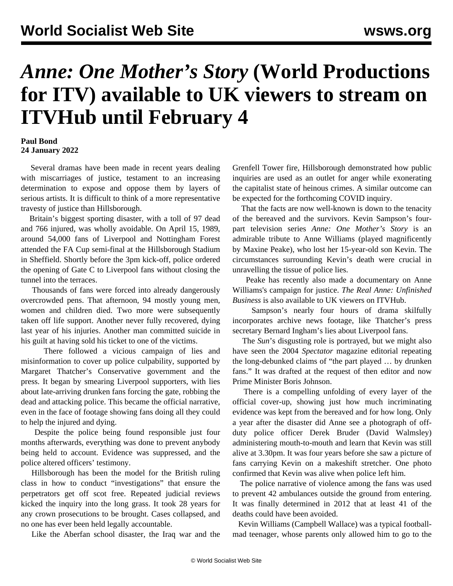## *Anne: One Mother's Story* **(World Productions for ITV) available to UK viewers to stream on ITVHub until February 4**

## **Paul Bond 24 January 2022**

 Several dramas have been made in recent years dealing with miscarriages of justice, testament to an increasing determination to expose and oppose them by layers of serious artists. It is difficult to think of a more representative travesty of justice than Hillsborough.

 Britain's biggest sporting disaster, with a toll of 97 dead and 766 injured, was wholly avoidable. On April 15, 1989, around 54,000 fans of Liverpool and Nottingham Forest attended the FA Cup semi-final at the Hillsborough Stadium in Sheffield. Shortly before the 3pm kick-off, police ordered the opening of Gate C to Liverpool fans without closing the tunnel into the terraces.

 Thousands of fans were forced into already dangerously overcrowded pens. That afternoon, 94 mostly young men, women and children died. Two more were subsequently taken off life support. Another never fully recovered, [dying](/en/articles/2021/08/02/andr-a02.html) [last year](/en/articles/2021/08/02/andr-a02.html) of his injuries. Another man committed suicide in his guilt at having sold his ticket to one of the victims.

 There followed [a vicious campaign of lies](/en/articles/2021/08/02/time-a02.html) and misinformation to cover up police culpability, supported by Margaret Thatcher's Conservative government and the press. It began by smearing Liverpool supporters, with lies about late-arriving drunken fans forcing the gate, robbing the dead and attacking police. This became the official narrative, even in the face of footage showing fans doing all they could to help the injured and dying.

 Despite the police being found responsible just four months afterwards, everything was done to prevent anybody being held to account. Evidence was suppressed, and the police altered officers' testimony.

 Hillsborough has been the model for the British ruling class in how to conduct "investigations" that ensure the perpetrators get off scot free. Repeated judicial reviews kicked the inquiry into the long grass. It took 28 years for any crown prosecutions to be brought. Cases collapsed, and no one has ever been held legally accountable.

Like the Aberfan school disaster, the Iraq war and the

Grenfell Tower fire, Hillsborough demonstrated how public inquiries are used as an outlet for anger while exonerating the capitalist state of heinous crimes. A similar outcome can be expected for the forthcoming COVID inquiry.

 That the facts are now well-known is down to the tenacity of the bereaved and the survivors. Kevin Sampson's fourpart television series *Anne: One Mother's Story* is an admirable tribute to Anne Williams (played magnificently by Maxine Peake), who lost her 15-year-old son Kevin. The circumstances surrounding Kevin's death were crucial in unravelling the tissue of police lies.

 Peake has recently also made a documentary on Anne Williams's campaign for justice. *The Real Anne: Unfinished Business* is also available to UK viewers on ITVHub.

 Sampson's nearly four hours of drama skilfully incorporates archive news footage, like Thatcher's press secretary Bernard Ingham's lies about Liverpool fans.

 The *Sun*'s disgusting role is portrayed, but we might also have seen the 2004 *Spectator* magazine editorial repeating the long-debunked claims of "the part played … by drunken fans." It was drafted at the request of then editor and now Prime Minister Boris Johnson.

 There is a compelling unfolding of every layer of the official cover-up, showing just how much incriminating evidence was kept from the bereaved and for how long. Only a year after the disaster did Anne see a photograph of offduty police officer Derek Bruder (David Walmsley) administering mouth-to-mouth and learn that Kevin was still alive at 3.30pm. It was four years before she saw a picture of fans carrying Kevin on a makeshift stretcher. One photo confirmed that Kevin was alive when police left him.

 The police narrative of violence among the fans was used to prevent 42 ambulances outside the ground from entering. It was finally determined in 2012 that at least 41 of the deaths could have been avoided.

 Kevin Williams (Campbell Wallace) was a typical footballmad teenager, whose parents only allowed him to go to the